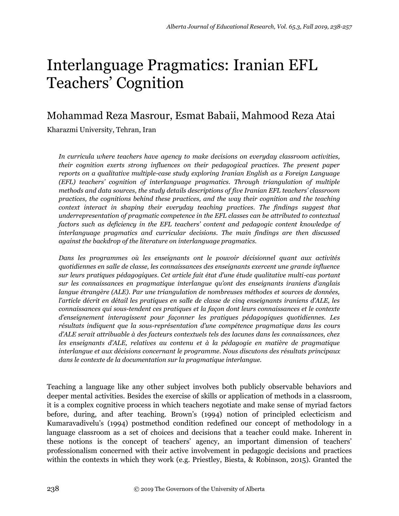# Interlanguage Pragmatics: Iranian EFL Teachers' Cognition

# Mohammad Reza Masrour, Esmat Babaii, Mahmood Reza Atai

Kharazmi University, Tehran, Iran

*In curricula where teachers have agency to make decisions on everyday classroom activities, their cognition exerts strong influences on their pedagogical practices. The present paper reports on a qualitative multiple-case study exploring Iranian English as a Foreign Language (EFL) teachers' cognition of interlanguage pragmatics. Through triangulation of multiple methods and data sources, the study details descriptions of five Iranian EFL teachers' classroom practices, the cognitions behind these practices, and the way their cognition and the teaching context interact in shaping their everyday teaching practices. The findings suggest that underrepresentation of pragmatic competence in the EFL classes can be attributed to contextual factors such as deficiency in the EFL teachers' content and pedagogic content knowledge of interlanguage pragmatics and curricular decisions. The main findings are then discussed against the backdrop of the literature on interlanguage pragmatics.*

*Dans les programmes où les enseignants ont le pouvoir décisionnel quant aux activités quotidiennes en salle de classe, les connaissances des enseignants exercent une grande influence*  sur leurs pratiques pédagogiques. Cet article fait état d'une étude qualitative multi-cas portant *sur les connaissances en pragmatique interlangue qu'ont des enseignants iraniens d'anglais langue étrangère (ALE). Par une triangulation de nombreuses méthodes et sources de données, l'article décrit en détail les pratiques en salle de classe de cinq enseignants iraniens d'ALE, les connaissances qui sous-tendent ces pratiques et la façon dont leurs connaissances et le contexte d'enseignement interagissent pour façonner les pratiques pédagogiques quotidiennes. Les résultats indiquent que la sous-représentation d'une compétence pragmatique dans les cours d'ALE serait attribuable à des facteurs contextuels tels des lacunes dans les connaissances, chez les enseignants d'ALE, relatives au contenu et à la pédagogie en matière de pragmatique interlangue et aux décisions concernant le programme. Nous discutons des résultats principaux dans le contexte de la documentation sur la pragmatique interlangue.* 

Teaching a language like any other subject involves both publicly observable behaviors and deeper mental activities. Besides the exercise of skills or application of methods in a classroom, it is a complex cognitive process in which teachers negotiate and make sense of myriad factors before, during, and after teaching. Brown's (1994) notion of principled eclecticism and Kumaravadivelu's (1994) postmethod condition redefined our concept of methodology in a language classroom as a set of choices and decisions that a teacher could make. Inherent in these notions is the concept of teachers' agency, an important dimension of teachers' professionalism concerned with their active involvement in pedagogic decisions and practices within the contexts in which they work (e.g. Priestley, Biesta, & Robinson, 2015). Granted the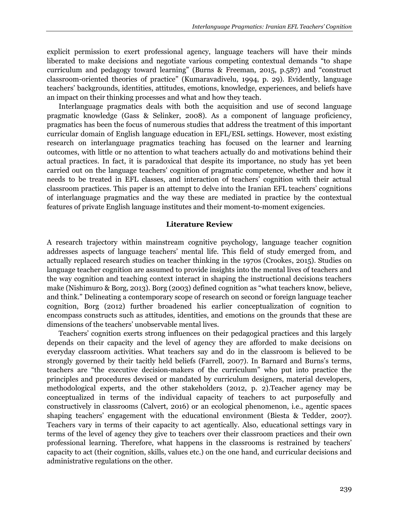explicit permission to exert professional agency, language teachers will have their minds liberated to make decisions and negotiate various competing contextual demands "to shape curriculum and pedagogy toward learning" (Burns & Freeman, 2015, p.587) and "construct classroom-oriented theories of practice" (Kumaravadivelu, 1994, p. 29). Evidently, language teachers' backgrounds, identities, attitudes, emotions, knowledge, experiences, and beliefs have an impact on their thinking processes and what and how they teach.

Interlanguage pragmatics deals with both the acquisition and use of second language pragmatic knowledge (Gass & Selinker, 2008). As a component of language proficiency, pragmatics has been the focus of numerous studies that address the treatment of this important curricular domain of English language education in EFL/ESL settings. However, most existing research on interlanguage pragmatics teaching has focused on the learner and learning outcomes, with little or no attention to what teachers actually do and motivations behind their actual practices. In fact, it is paradoxical that despite its importance, no study has yet been carried out on the language teachers' cognition of pragmatic competence, whether and how it needs to be treated in EFL classes, and interaction of teachers' cognition with their actual classroom practices. This paper is an attempt to delve into the Iranian EFL teachers' cognitions of interlanguage pragmatics and the way these are mediated in practice by the contextual features of private English language institutes and their moment-to-moment exigencies.

# **Literature Review**

A research trajectory within mainstream cognitive psychology, language teacher cognition addresses aspects of language teachers' mental life. This field of study emerged from, and actually replaced research studies on teacher thinking in the 1970s (Crookes, 2015). Studies on language teacher cognition are assumed to provide insights into the mental lives of teachers and the way cognition and teaching context interact in shaping the instructional decisions teachers make (Nishimuro & Borg, 2013). Borg (2003) defined cognition as "what teachers know, believe, and think." Delineating a contemporary scope of research on second or foreign language teacher cognition, Borg (2012) further broadened his earlier conceptualization of cognition to encompass constructs such as attitudes, identities, and emotions on the grounds that these are dimensions of the teachers' unobservable mental lives.

Teachers' cognition exerts strong influences on their pedagogical practices and this largely depends on their capacity and the level of agency they are afforded to make decisions on everyday classroom activities. What teachers say and do in the classroom is believed to be strongly governed by their tacitly held beliefs (Farrell, 2007). In Barnard and Burns's terms, teachers are "the executive decision-makers of the curriculum" who put into practice the principles and procedures devised or mandated by curriculum designers, material developers, methodological experts, and the other stakeholders (2012, p. 2).Teacher agency may be conceptualized in terms of the individual capacity of teachers to act purposefully and constructively in classrooms (Calvert, 2016) or an ecological phenomenon, i.e., agentic spaces shaping teachers' engagement with the educational environment (Biesta & Tedder, 2007). Teachers vary in terms of their capacity to act agentically. Also, educational settings vary in terms of the level of agency they give to teachers over their classroom practices and their own professional learning. Therefore, what happens in the classrooms is restrained by teachers' capacity to act (their cognition, skills, values etc.) on the one hand, and curricular decisions and administrative regulations on the other.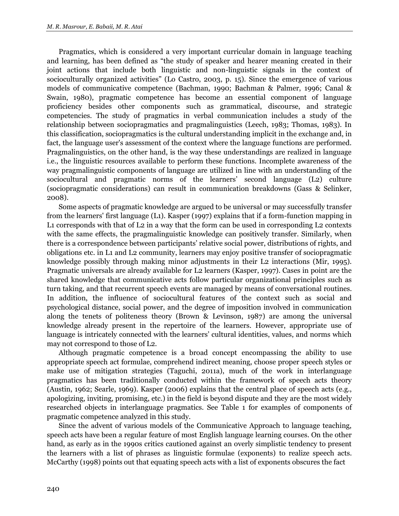Pragmatics, which is considered a very important curricular domain in language teaching and learning, has been defined as "the study of speaker and hearer meaning created in their joint actions that include both linguistic and non-linguistic signals in the context of socioculturally organized activities" (Lo Castro, 2003, p. 15). Since the emergence of various models of communicative competence (Bachman, 1990; Bachman & Palmer, 1996; Canal & Swain, 1980), pragmatic competence has become an essential component of language proficiency besides other components such as grammatical, discourse, and strategic competencies. The study of pragmatics in verbal communication includes a study of the relationship between sociopragmatics and pragmalinguistics (Leech, 1983; Thomas, 1983). In this classification, sociopragmatics is the cultural understanding implicit in the exchange and, in fact, the language user's assessment of the context where the language functions are performed. Pragmalinguistics, on the other hand, is the way these understandings are realized in language i.e., the linguistic resources available to perform these functions. Incomplete awareness of the way pragmalinguistic components of language are utilized in line with an understanding of the sociocultural and pragmatic norms of the learners' second language (L2) culture (sociopragmatic considerations) can result in communication breakdowns (Gass & Selinker, 2008).

Some aspects of pragmatic knowledge are argued to be universal or may successfully transfer from the learners' first language (L1). Kasper (1997) explains that if a form-function mapping in L1 corresponds with that of L2 in a way that the form can be used in corresponding L2 contexts with the same effects, the pragmalinguistic knowledge can positively transfer. Similarly, when there is a correspondence between participants' relative social power, distributions of rights, and obligations etc. in L1 and L2 community, learners may enjoy positive transfer of sociopragmatic knowledge possibly through making minor adjustments in their L2 interactions (Mir, 1995). Pragmatic universals are already available for L2 learners (Kasper, 1997). Cases in point are the shared knowledge that communicative acts follow particular organizational principles such as turn taking, and that recurrent speech events are managed by means of conversational routines. In addition, the influence of sociocultural features of the context such as social and psychological distance, social power, and the degree of imposition involved in communication along the tenets of politeness theory (Brown & Levinson, 1987) are among the universal knowledge already present in the repertoire of the learners. However, appropriate use of language is intricately connected with the learners' cultural identities, values, and norms which may not correspond to those of L2.

Although pragmatic competence is a broad concept encompassing the ability to use appropriate speech act formulae, comprehend indirect meaning, choose proper speech styles or make use of mitigation strategies (Taguchi, 2011a), much of the work in interlanguage pragmatics has been traditionally conducted within the framework of speech acts theory (Austin, 1962; Searle, 1969). Kasper (2006) explains that the central place of speech acts (e.g., apologizing, inviting, promising, etc.) in the field is beyond dispute and they are the most widely researched objects in interlanguage pragmatics. See Table 1 for examples of components of pragmatic competence analyzed in this study.

Since the advent of various models of the Communicative Approach to language teaching, speech acts have been a regular feature of most English language learning courses. On the other hand, as early as in the 1990s critics cautioned against an overly simplistic tendency to present the learners with a list of phrases as linguistic formulae (exponents) to realize speech acts. McCarthy (1998) points out that equating speech acts with a list of exponents obscures the fact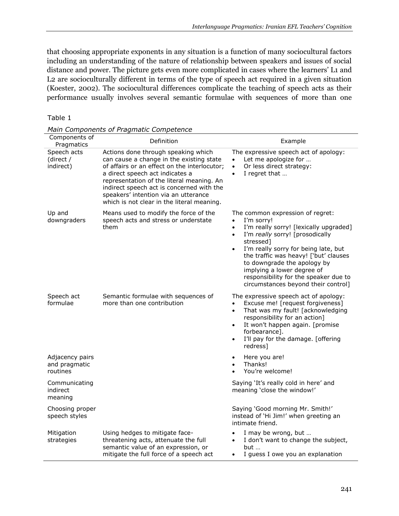that choosing appropriate exponents in any situation is a function of many sociocultural factors including an understanding of the nature of relationship between speakers and issues of social distance and power. The picture gets even more complicated in cases where the learners' L1 and L2 are socioculturally different in terms of the type of speech act required in a given situation (Koester, 2002). The sociocultural differences complicate the teaching of speech acts as their performance usually involves several semantic formulae with sequences of more than one

| ۹.<br>٠ |  |  |
|---------|--|--|
|---------|--|--|

| ----<br>Components of<br>Pragmatics          | Definition                                                                                                                                                                                                                                                                                                                                         | Example                                                                                                                                                                                                                                                                                                                                                                                                                    |
|----------------------------------------------|----------------------------------------------------------------------------------------------------------------------------------------------------------------------------------------------------------------------------------------------------------------------------------------------------------------------------------------------------|----------------------------------------------------------------------------------------------------------------------------------------------------------------------------------------------------------------------------------------------------------------------------------------------------------------------------------------------------------------------------------------------------------------------------|
| Speech acts<br>(direct /<br>indirect)        | Actions done through speaking which<br>can cause a change in the existing state<br>of affairs or an effect on the interlocutor;<br>a direct speech act indicates a<br>representation of the literal meaning. An<br>indirect speech act is concerned with the<br>speakers' intention via an utterance<br>which is not clear in the literal meaning. | The expressive speech act of apology:<br>Let me apologize for<br>$\bullet$<br>Or less direct strategy:<br>$\bullet$<br>I regret that<br>$\bullet$                                                                                                                                                                                                                                                                          |
| Up and<br>downgraders                        | Means used to modify the force of the<br>speech acts and stress or understate<br>them                                                                                                                                                                                                                                                              | The common expression of regret:<br>I'm sorry!<br>$\bullet$<br>I'm really sorry! [lexically upgraded]<br>$\bullet$<br>I'm really sorry! [prosodically<br>$\bullet$<br>stressed]<br>I'm really sorry for being late, but<br>$\bullet$<br>the traffic was heavy! ['but' clauses<br>to downgrade the apology by<br>implying a lower degree of<br>responsibility for the speaker due to<br>circumstances beyond their control] |
| Speech act<br>formulae                       | Semantic formulae with sequences of<br>more than one contribution                                                                                                                                                                                                                                                                                  | The expressive speech act of apology:<br>Excuse me! [request forgiveness]<br>$\bullet$<br>That was my fault! [acknowledging<br>$\bullet$<br>responsibility for an action]<br>It won't happen again. [promise<br>$\bullet$<br>forbearance].<br>I'll pay for the damage. [offering<br>$\bullet$<br>redress]                                                                                                                  |
| Adjacency pairs<br>and pragmatic<br>routines |                                                                                                                                                                                                                                                                                                                                                    | Here you are!<br>$\bullet$<br>Thanks!<br>$\bullet$<br>You're welcome!<br>$\bullet$                                                                                                                                                                                                                                                                                                                                         |
| Communicating<br>indirect<br>meaning         |                                                                                                                                                                                                                                                                                                                                                    | Saying 'It's really cold in here' and<br>meaning 'close the window!'                                                                                                                                                                                                                                                                                                                                                       |
| Choosing proper<br>speech styles             |                                                                                                                                                                                                                                                                                                                                                    | Saying 'Good morning Mr. Smith!'<br>instead of 'Hi Jim!' when greeting an<br>intimate friend.                                                                                                                                                                                                                                                                                                                              |
| Mitigation<br>strategies                     | Using hedges to mitigate face-<br>threatening acts, attenuate the full<br>semantic value of an expression, or<br>mitigate the full force of a speech act                                                                                                                                                                                           | I may be wrong, but<br>$\bullet$<br>I don't want to change the subject,<br>$\bullet$<br>but<br>I guess I owe you an explanation<br>$\bullet$                                                                                                                                                                                                                                                                               |

*Main Components of Pragmatic Competence*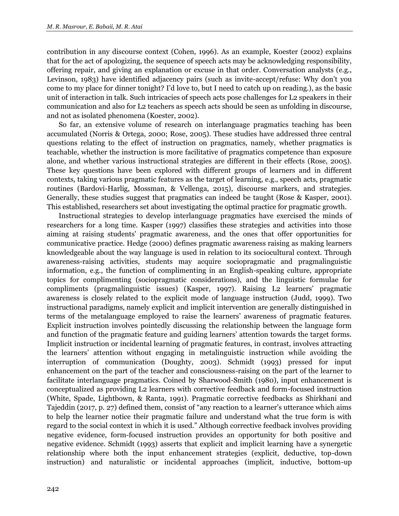contribution in any discourse context (Cohen, 1996). As an example, Koester (2002) explains that for the act of apologizing, the sequence of speech acts may be acknowledging responsibility, offering repair, and giving an explanation or excuse in that order. Conversation analysts (e.g., Levinson, 1983) have identified adjacency pairs (such as invite-accept/refuse: Why don't you come to my place for dinner tonight? I'd love to, but I need to catch up on reading.), as the basic unit of interaction in talk. Such intricacies of speech acts pose challenges for L2 speakers in their communication and also for L2 teachers as speech acts should be seen as unfolding in discourse, and not as isolated phenomena (Koester, 2002).

So far, an extensive volume of research on interlanguage pragmatics teaching has been accumulated (Norris & Ortega, 2000; Rose, 2005). These studies have addressed three central questions relating to the effect of instruction on pragmatics, namely, whether pragmatics is teachable, whether the instruction is more facilitative of pragmatics competence than exposure alone, and whether various instructional strategies are different in their effects (Rose, 2005). These key questions have been explored with different groups of learners and in different contexts, taking various pragmatic features as the target of learning, e.g., speech acts, pragmatic routines (Bardovi-Harlig, Mossman, & Vellenga, 2015), discourse markers, and strategies. Generally, these studies suggest that pragmatics can indeed be taught (Rose & Kasper, 2001). This established, researchers set about investigating the optimal practice for pragmatic growth.

Instructional strategies to develop interlanguage pragmatics have exercised the minds of researchers for a long time. Kasper (1997) classifies these strategies and activities into those aiming at raising students' pragmatic awareness, and the ones that offer opportunities for communicative practice. Hedge (2000) defines pragmatic awareness raising as making learners knowledgeable about the way language is used in relation to its sociocultural context. Through awareness-raising activities, students may acquire sociopragmatic and pragmalinguistic information, e.g., the function of complimenting in an English-speaking culture, appropriate topics for complimenting (sociopragmatic considerations), and the linguistic formulae for compliments (pragmalinguistic issues) (Kasper, 1997). Raising L2 learners' pragmatic awareness is closely related to the explicit mode of language instruction (Judd, 1999). Two instructional paradigms, namely explicit and implicit intervention are generally distinguished in terms of the metalanguage employed to raise the learners' awareness of pragmatic features. Explicit instruction involves pointedly discussing the relationship between the language form and function of the pragmatic feature and guiding learners' attention towards the target forms. Implicit instruction or incidental learning of pragmatic features, in contrast, involves attracting the learners' attention without engaging in metalinguistic instruction while avoiding the interruption of communication (Doughty, 2003). Schmidt (1993) pressed for input enhancement on the part of the teacher and consciousness-raising on the part of the learner to facilitate interlanguage pragmatics. Coined by Sharwood-Smith (1980), input enhancement is conceptualized as providing L2 learners with corrective feedback and form-focused instruction (White, Spade, Lightbown, & Ranta, 1991). Pragmatic corrective feedbacks as Shirkhani and Tajeddin (2017, p. 27) defined them, consist of "any reaction to a learner's utterance which aims to help the learner notice their pragmatic failure and understand what the true form is with regard to the social context in which it is used." Although corrective feedback involves providing negative evidence, form-focused instruction provides an opportunity for both positive and negative evidence. Schmidt (1993) asserts that explicit and implicit learning have a synergetic relationship where both the input enhancement strategies (explicit, deductive, top-down instruction) and naturalistic or incidental approaches (implicit, inductive, bottom-up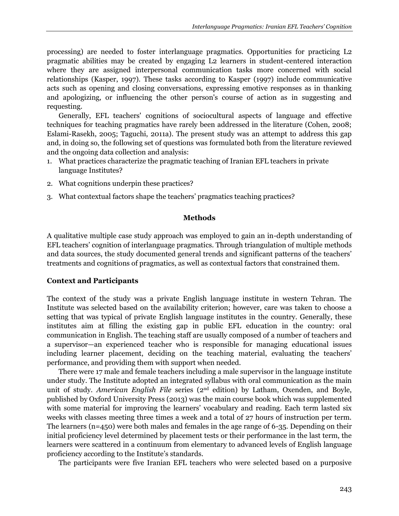processing) are needed to foster interlanguage pragmatics. Opportunities for practicing L2 pragmatic abilities may be created by engaging L2 learners in student-centered interaction where they are assigned interpersonal communication tasks more concerned with social relationships (Kasper, 1997). These tasks according to Kasper (1997) include communicative acts such as opening and closing conversations, expressing emotive responses as in thanking and apologizing, or influencing the other person's course of action as in suggesting and requesting.

Generally, EFL teachers' cognitions of sociocultural aspects of language and effective techniques for teaching pragmatics have rarely been addressed in the literature (Cohen, 2008; Eslami-Rasekh, 2005; Taguchi, 2011a). The present study was an attempt to address this gap and, in doing so, the following set of questions was formulated both from the literature reviewed and the ongoing data collection and analysis:

- 1. What practices characterize the pragmatic teaching of Iranian EFL teachers in private language Institutes?
- 2. What cognitions underpin these practices?
- 3. What contextual factors shape the teachers' pragmatics teaching practices?

## **Methods**

A qualitative multiple case study approach was employed to gain an in-depth understanding of EFL teachers' cognition of interlanguage pragmatics. Through triangulation of multiple methods and data sources, the study documented general trends and significant patterns of the teachers' treatments and cognitions of pragmatics, as well as contextual factors that constrained them.

# **Context and Participants**

The context of the study was a private English language institute in western Tehran. The Institute was selected based on the availability criterion; however, care was taken to choose a setting that was typical of private English language institutes in the country. Generally, these institutes aim at filling the existing gap in public EFL education in the country: oral communication in English. The teaching staff are usually composed of a number of teachers and a supervisor—an experienced teacher who is responsible for managing educational issues including learner placement, deciding on the teaching material, evaluating the teachers' performance, and providing them with support when needed.

There were 17 male and female teachers including a male supervisor in the language institute under study. The Institute adopted an integrated syllabus with oral communication as the main unit of study. *American English File* series (2nd edition) by Latham, Oxenden, and Boyle, published by Oxford University Press (2013) was the main course book which was supplemented with some material for improving the learners' vocabulary and reading. Each term lasted six weeks with classes meeting three times a week and a total of 27 hours of instruction per term. The learners (n=450) were both males and females in the age range of 6-35. Depending on their initial proficiency level determined by placement tests or their performance in the last term, the learners were scattered in a continuum from elementary to advanced levels of English language proficiency according to the Institute's standards.

The participants were five Iranian EFL teachers who were selected based on a purposive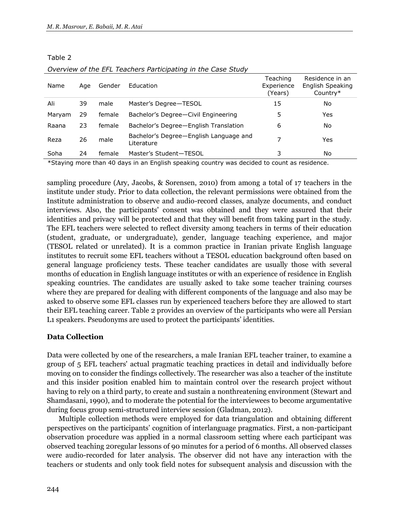Table 2

| Name   | Age | Gender | Education                                            | Teaching<br>Experience<br>(Years) | Residence in an<br>English Speaking<br>Country* |
|--------|-----|--------|------------------------------------------------------|-----------------------------------|-------------------------------------------------|
| Ali    | 39  | male   | Master's Degree-TESOL                                | 15                                | No                                              |
| Maryam | 29  | female | Bachelor's Degree-Civil Engineering                  | 5                                 | Yes                                             |
| Raana  | 23  | female | Bachelor's Degree-English Translation                | 6                                 | No                                              |
| Reza   | 26  | male   | Bachelor's Degree-English Language and<br>Literature | 7                                 | Yes                                             |
| Soha   | 24  | female | Master's Student-TESOL                               | 3                                 | No                                              |

\*Staying more than 40 days in an English speaking country was decided to count as residence.

sampling procedure (Ary, Jacobs, & Sorensen, 2010) from among a total of 17 teachers in the institute under study. Prior to data collection, the relevant permissions were obtained from the Institute administration to observe and audio-record classes, analyze documents, and conduct interviews. Also, the participants' consent was obtained and they were assured that their identities and privacy will be protected and that they will benefit from taking part in the study. The EFL teachers were selected to reflect diversity among teachers in terms of their education (student, graduate, or undergraduate), gender, language teaching experience, and major (TESOL related or unrelated). It is a common practice in Iranian private English language institutes to recruit some EFL teachers without a TESOL education background often based on general language proficiency tests. These teacher candidates are usually those with several months of education in English language institutes or with an experience of residence in English speaking countries. The candidates are usually asked to take some teacher training courses where they are prepared for dealing with different components of the language and also may be asked to observe some EFL classes run by experienced teachers before they are allowed to start their EFL teaching career. Table 2 provides an overview of the participants who were all Persian L1 speakers. Pseudonyms are used to protect the participants' identities.

# **Data Collection**

Data were collected by one of the researchers, a male Iranian EFL teacher trainer, to examine a group of 5 EFL teachers' actual pragmatic teaching practices in detail and individually before moving on to consider the findings collectively. The researcher was also a teacher of the institute and this insider position enabled him to maintain control over the research project without having to rely on a third party, to create and sustain a nonthreatening environment (Stewart and Shamdasani, 1990), and to moderate the potential for the interviewees to become argumentative during focus group semi-structured interview session (Gladman, 2012).

Multiple collection methods were employed for data triangulation and obtaining different perspectives on the participants' cognition of interlanguage pragmatics. First, a non-participant observation procedure was applied in a normal classroom setting where each participant was observed teaching 20regular lessons of 90 minutes for a period of 6 months. All observed classes were audio-recorded for later analysis. The observer did not have any interaction with the teachers or students and only took field notes for subsequent analysis and discussion with the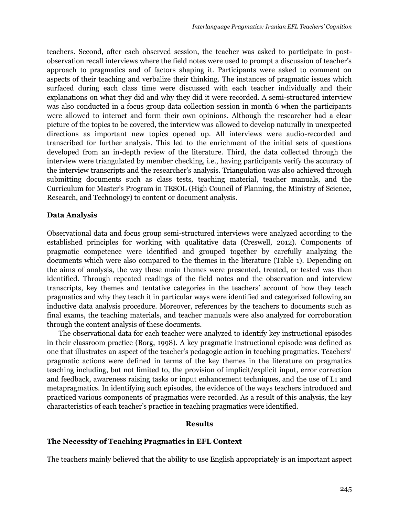teachers. Second, after each observed session, the teacher was asked to participate in postobservation recall interviews where the field notes were used to prompt a discussion of teacher's approach to pragmatics and of factors shaping it. Participants were asked to comment on aspects of their teaching and verbalize their thinking. The instances of pragmatic issues which surfaced during each class time were discussed with each teacher individually and their explanations on what they did and why they did it were recorded. A semi-structured interview was also conducted in a focus group data collection session in month 6 when the participants were allowed to interact and form their own opinions. Although the researcher had a clear picture of the topics to be covered, the interview was allowed to develop naturally in unexpected directions as important new topics opened up. All interviews were audio-recorded and transcribed for further analysis. This led to the enrichment of the initial sets of questions developed from an in-depth review of the literature. Third, the data collected through the interview were triangulated by member checking, i.e., having participants verify the accuracy of the interview transcripts and the researcher's analysis. Triangulation was also achieved through submitting documents such as class tests, teaching material, teacher manuals, and the Curriculum for Master's Program in TESOL (High Council of Planning, the Ministry of Science, Research, and Technology) to content or document analysis.

# **Data Analysis**

Observational data and focus group semi-structured interviews were analyzed according to the established principles for working with qualitative data (Creswell, 2012). Components of pragmatic competence were identified and grouped together by carefully analyzing the documents which were also compared to the themes in the literature (Table 1). Depending on the aims of analysis, the way these main themes were presented, treated, or tested was then identified. Through repeated readings of the field notes and the observation and interview transcripts, key themes and tentative categories in the teachers' account of how they teach pragmatics and why they teach it in particular ways were identified and categorized following an inductive data analysis procedure. Moreover, references by the teachers to documents such as final exams, the teaching materials, and teacher manuals were also analyzed for corroboration through the content analysis of these documents.

The observational data for each teacher were analyzed to identify key instructional episodes in their classroom practice (Borg, 1998). A key pragmatic instructional episode was defined as one that illustrates an aspect of the teacher's pedagogic action in teaching pragmatics. Teachers' pragmatic actions were defined in terms of the key themes in the literature on pragmatics teaching including, but not limited to, the provision of implicit/explicit input, error correction and feedback, awareness raising tasks or input enhancement techniques, and the use of L1 and metapragmatics. In identifying such episodes, the evidence of the ways teachers introduced and practiced various components of pragmatics were recorded. As a result of this analysis, the key characteristics of each teacher's practice in teaching pragmatics were identified.

# **Results**

# **The Necessity of Teaching Pragmatics in EFL Context**

The teachers mainly believed that the ability to use English appropriately is an important aspect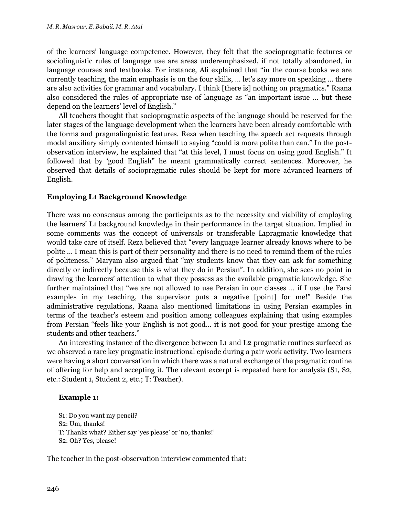of the learners' language competence. However, they felt that the sociopragmatic features or sociolinguistic rules of language use are areas underemphasized, if not totally abandoned, in language courses and textbooks. For instance, Ali explained that "in the course books we are currently teaching, the main emphasis is on the four skills, … let's say more on speaking … there are also activities for grammar and vocabulary. I think [there is] nothing on pragmatics." Raana also considered the rules of appropriate use of language as "an important issue … but these depend on the learners' level of English."

All teachers thought that sociopragmatic aspects of the language should be reserved for the later stages of the language development when the learners have been already comfortable with the forms and pragmalinguistic features. Reza when teaching the speech act requests through modal auxiliary simply contented himself to saying "could is more polite than can." In the postobservation interview, he explained that "at this level, I must focus on using good English." It followed that by 'good English" he meant grammatically correct sentences. Moreover, he observed that details of sociopragmatic rules should be kept for more advanced learners of English.

# **Employing L1 Background Knowledge**

There was no consensus among the participants as to the necessity and viability of employing the learners' L1 background knowledge in their performance in the target situation. Implied in some comments was the concept of universals or transferable L1pragmatic knowledge that would take care of itself. Reza believed that "every language learner already knows where to be polite … I mean this is part of their personality and there is no need to remind them of the rules of politeness." Maryam also argued that "my students know that they can ask for something directly or indirectly because this is what they do in Persian". In addition, she sees no point in drawing the learners' attention to what they possess as the available pragmatic knowledge. She further maintained that "we are not allowed to use Persian in our classes … if I use the Farsi examples in my teaching, the supervisor puts a negative [point] for me!" Beside the administrative regulations, Raana also mentioned limitations in using Persian examples in terms of the teacher's esteem and position among colleagues explaining that using examples from Persian "feels like your English is not good… it is not good for your prestige among the students and other teachers."

An interesting instance of the divergence between L1 and L2 pragmatic routines surfaced as we observed a rare key pragmatic instructional episode during a pair work activity. Two learners were having a short conversation in which there was a natural exchange of the pragmatic routine of offering for help and accepting it. The relevant excerpt is repeated here for analysis (S1, S2, etc.: Student 1, Student 2, etc.; T: Teacher).

# **Example 1:**

S1: Do you want my pencil? S2: Um, thanks! T: Thanks what? Either say 'yes please' or 'no, thanks!' S2: Oh? Yes, please!

The teacher in the post-observation interview commented that: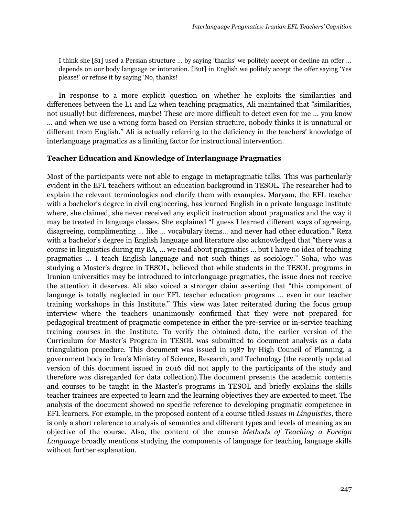I think she [S1] used a Persian structure … by saying 'thanks' we politely accept or decline an offer … depends on our body language or intonation. [But] in English we politely accept the offer saying 'Yes please!' or refuse it by saying 'No, thanks!

In response to a more explicit question on whether he exploits the similarities and differences between the L1 and L2 when teaching pragmatics, Ali maintained that "similarities, not usually! but differences, maybe! These are more difficult to detect even for me … you know … and when we use a wrong form based on Persian structure, nobody thinks it is unnatural or different from English." Ali is actually referring to the deficiency in the teachers' knowledge of interlanguage pragmatics as a limiting factor for instructional intervention.

# **Teacher Education and Knowledge of Interlanguage Pragmatics**

Most of the participants were not able to engage in metapragmatic talks. This was particularly evident in the EFL teachers without an education background in TESOL. The researcher had to explain the relevant terminologies and clarify them with examples. Maryam, the EFL teacher with a bachelor's degree in civil engineering, has learned English in a private language institute where, she claimed, she never received any explicit instruction about pragmatics and the way it may be treated in language classes. She explained "I guess I learned different ways of agreeing, disagreeing, complimenting … like … vocabulary items… and never had other education." Reza with a bachelor's degree in English language and literature also acknowledged that "there was a course in linguistics during my BA, … we read about pragmatics … but I have no idea of teaching pragmatics … I teach English language and not such things as sociology." Soha, who was studying a Master's degree in TESOL, believed that while students in the TESOL programs in Iranian universities may be introduced to interlanguage pragmatics, the issue does not receive the attention it deserves. Ali also voiced a stronger claim asserting that "this component of language is totally neglected in our EFL teacher education programs … even in our teacher training workshops in this Institute." This view was later reiterated during the focus group interview where the teachers unanimously confirmed that they were not prepared for pedagogical treatment of pragmatic competence in either the pre-service or in-service teaching training courses in the Institute. To verify the obtained data, the earlier version of the Curriculum for Master's Program in TESOL was submitted to document analysis as a data triangulation procedure. This document was issued in 1987 by High Council of Planning, a government body in Iran's Ministry of Science, Research, and Technology (the recently updated version of this document issued in 2016 did not apply to the participants of the study and therefore was disregarded for data collection).The document presents the academic contents and courses to be taught in the Master's programs in TESOL and briefly explains the skills teacher trainees are expected to learn and the learning objectives they are expected to meet. The analysis of the document showed no specific reference to developing pragmatic competence in EFL learners. For example, in the proposed content of a course titled *Issues in Linguistics*, there is only a short reference to analysis of semantics and different types and levels of meaning as an objective of the course. Also, the content of the course *Methods of Teaching a Foreign Language* broadly mentions studying the components of language for teaching language skills without further explanation.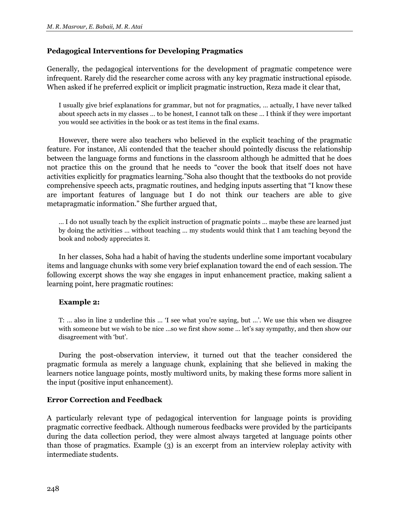# **Pedagogical Interventions for Developing Pragmatics**

Generally, the pedagogical interventions for the development of pragmatic competence were infrequent. Rarely did the researcher come across with any key pragmatic instructional episode. When asked if he preferred explicit or implicit pragmatic instruction, Reza made it clear that,

I usually give brief explanations for grammar, but not for pragmatics, … actually, I have never talked about speech acts in my classes … to be honest, I cannot talk on these … I think if they were important you would see activities in the book or as test items in the final exams.

However, there were also teachers who believed in the explicit teaching of the pragmatic feature. For instance, Ali contended that the teacher should pointedly discuss the relationship between the language forms and functions in the classroom although he admitted that he does not practice this on the ground that he needs to "cover the book that itself does not have activities explicitly for pragmatics learning."Soha also thought that the textbooks do not provide comprehensive speech acts, pragmatic routines, and hedging inputs asserting that "I know these are important features of language but I do not think our teachers are able to give metapragmatic information." She further argued that,

… I do not usually teach by the explicit instruction of pragmatic points … maybe these are learned just by doing the activities … without teaching … my students would think that I am teaching beyond the book and nobody appreciates it.

In her classes, Soha had a habit of having the students underline some important vocabulary items and language chunks with some very brief explanation toward the end of each session. The following excerpt shows the way she engages in input enhancement practice, making salient a learning point, here pragmatic routines:

# **Example 2:**

T: … also in line 2 underline this … 'I see what you're saying, but …'. We use this when we disagree with someone but we wish to be nice …so we first show some … let's say sympathy, and then show our disagreement with 'but'.

During the post-observation interview, it turned out that the teacher considered the pragmatic formula as merely a language chunk, explaining that she believed in making the learners notice language points, mostly multiword units, by making these forms more salient in the input (positive input enhancement).

# **Error Correction and Feedback**

A particularly relevant type of pedagogical intervention for language points is providing pragmatic corrective feedback. Although numerous feedbacks were provided by the participants during the data collection period, they were almost always targeted at language points other than those of pragmatics. Example (3) is an excerpt from an interview roleplay activity with intermediate students.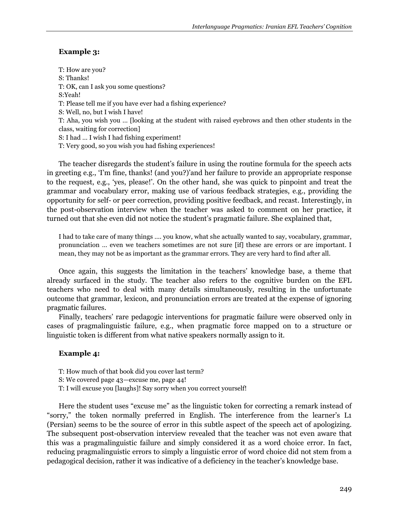# **Example 3:**

T: How are you? S: Thanks! T: OK, can I ask you some questions? S:Yeah! T: Please tell me if you have ever had a fishing experience? S: Well, no, but I wish I have! T: Aha, you wish you … [looking at the student with raised eyebrows and then other students in the class, waiting for correction] S: I had … I wish I had fishing experiment! T: Very good, so you wish you had fishing experiences!

The teacher disregards the student's failure in using the routine formula for the speech acts in greeting e.g., 'I'm fine, thanks! (and you?)'and her failure to provide an appropriate response to the request, e.g., 'yes, please!'. On the other hand, she was quick to pinpoint and treat the grammar and vocabulary error, making use of various feedback strategies, e.g., providing the opportunity for self- or peer correction, providing positive feedback, and recast. Interestingly, in the post-observation interview when the teacher was asked to comment on her practice, it turned out that she even did not notice the student's pragmatic failure. She explained that,

I had to take care of many things …. you know, what she actually wanted to say, vocabulary, grammar, pronunciation … even we teachers sometimes are not sure [if] these are errors or are important. I mean, they may not be as important as the grammar errors. They are very hard to find after all.

Once again, this suggests the limitation in the teachers' knowledge base, a theme that already surfaced in the study. The teacher also refers to the cognitive burden on the EFL teachers who need to deal with many details simultaneously, resulting in the unfortunate outcome that grammar, lexicon, and pronunciation errors are treated at the expense of ignoring pragmatic failures.

Finally, teachers' rare pedagogic interventions for pragmatic failure were observed only in cases of pragmalinguistic failure, e.g., when pragmatic force mapped on to a structure or linguistic token is different from what native speakers normally assign to it.

## **Example 4:**

- T: How much of that book did you cover last term?
- S: We covered page 43—excuse me, page 44!
- T: I will excuse you [laughs]! Say sorry when you correct yourself!

Here the student uses "excuse me" as the linguistic token for correcting a remark instead of "sorry," the token normally preferred in English. The interference from the learner's L1 (Persian) seems to be the source of error in this subtle aspect of the speech act of apologizing. The subsequent post-observation interview revealed that the teacher was not even aware that this was a pragmalinguistic failure and simply considered it as a word choice error. In fact, reducing pragmalinguistic errors to simply a linguistic error of word choice did not stem from a pedagogical decision, rather it was indicative of a deficiency in the teacher's knowledge base.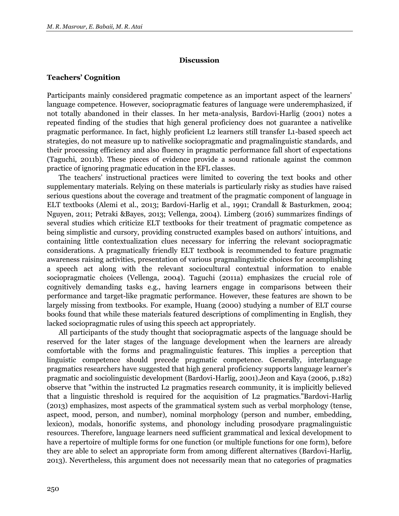### **Discussion**

# **Teachers' Cognition**

Participants mainly considered pragmatic competence as an important aspect of the learners' language competence. However, sociopragmatic features of language were underemphasized, if not totally abandoned in their classes. In her meta-analysis, Bardovi-Harlig (2001) notes a repeated finding of the studies that high general proficiency does not guarantee a nativelike pragmatic performance. In fact, highly proficient L2 learners still transfer L1-based speech act strategies, do not measure up to nativelike sociopragmatic and pragmalinguistic standards, and their processing efficiency and also fluency in pragmatic performance fall short of expectations (Taguchi, 2011b). These pieces of evidence provide a sound rationale against the common practice of ignoring pragmatic education in the EFL classes.

The teachers' instructional practices were limited to covering the text books and other supplementary materials. Relying on these materials is particularly risky as studies have raised serious questions about the coverage and treatment of the pragmatic component of language in ELT textbooks (Alemi et al., 2013; Bardovi-Harlig et al., 1991; Crandall & Basturkmen, 2004; Nguyen, 2011; Petraki &Bayes, 2013; Vellenga, 2004). Limberg (2016) summarizes findings of several studies which criticize ELT textbooks for their treatment of pragmatic competence as being simplistic and cursory, providing constructed examples based on authors' intuitions, and containing little contextualization clues necessary for inferring the relevant sociopragmatic considerations. A pragmatically friendly ELT textbook is recommended to feature pragmatic awareness raising activities, presentation of various pragmalinguistic choices for accomplishing a speech act along with the relevant sociocultural contextual information to enable sociopragmatic choices (Vellenga, 2004). Taguchi (2011a) emphasizes the crucial role of cognitively demanding tasks e.g., having learners engage in comparisons between their performance and target-like pragmatic performance. However, these features are shown to be largely missing from textbooks. For example, Huang (2000) studying a number of ELT course books found that while these materials featured descriptions of complimenting in English, they lacked sociopragmatic rules of using this speech act appropriately.

All participants of the study thought that sociopragmatic aspects of the language should be reserved for the later stages of the language development when the learners are already comfortable with the forms and pragmalinguistic features. This implies a perception that linguistic competence should precede pragmatic competence. Generally, interlanguage pragmatics researchers have suggested that high general proficiency supports language learner's pragmatic and sociolinguistic development (Bardovi-Harlig, 2001).Jeon and Kaya (2006, p.182) observe that "within the instructed L2 pragmatics research community, it is implicitly believed that a linguistic threshold is required for the acquisition of L2 pragmatics."Bardovi-Harlig (2013) emphasizes, most aspects of the grammatical system such as verbal morphology (tense, aspect, mood, person, and number), nominal morphology (person and number, embedding, lexicon), modals, honorific systems, and phonology including prosodyare pragmalinguistic resources. Therefore, language learners need sufficient grammatical and lexical development to have a repertoire of multiple forms for one function (or multiple functions for one form), before they are able to select an appropriate form from among different alternatives (Bardovi-Harlig, 2013). Nevertheless, this argument does not necessarily mean that no categories of pragmatics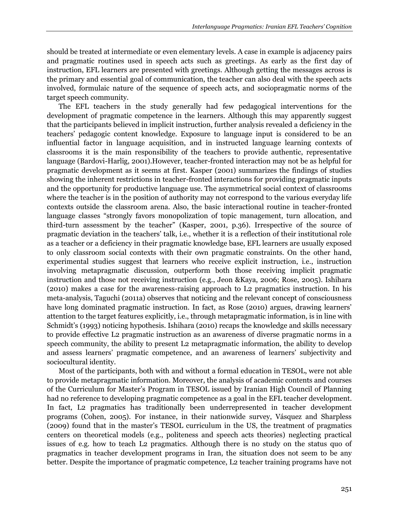should be treated at intermediate or even elementary levels. A case in example is adjacency pairs and pragmatic routines used in speech acts such as greetings. As early as the first day of instruction, EFL learners are presented with greetings. Although getting the messages across is the primary and essential goal of communication, the teacher can also deal with the speech acts involved, formulaic nature of the sequence of speech acts, and sociopragmatic norms of the target speech community.

The EFL teachers in the study generally had few pedagogical interventions for the development of pragmatic competence in the learners. Although this may apparently suggest that the participants believed in implicit instruction, further analysis revealed a deficiency in the teachers' pedagogic content knowledge. Exposure to language input is considered to be an influential factor in language acquisition, and in instructed language learning contexts of classrooms it is the main responsibility of the teachers to provide authentic, representative language (Bardovi-Harlig, 2001).However, teacher-fronted interaction may not be as helpful for pragmatic development as it seems at first. Kasper (2001) summarizes the findings of studies showing the inherent restrictions in teacher-fronted interactions for providing pragmatic inputs and the opportunity for productive language use. The asymmetrical social context of classrooms where the teacher is in the position of authority may not correspond to the various everyday life contexts outside the classroom arena. Also, the basic interactional routine in teacher-fronted language classes "strongly favors monopolization of topic management, turn allocation, and third-turn assessment by the teacher" (Kasper, 2001, p.36). Irrespective of the source of pragmatic deviation in the teachers' talk, i.e., whether it is a reflection of their institutional role as a teacher or a deficiency in their pragmatic knowledge base, EFL learners are usually exposed to only classroom social contexts with their own pragmatic constraints. On the other hand, experimental studies suggest that learners who receive explicit instruction, i.e., instruction involving metapragmatic discussion, outperform both those receiving implicit pragmatic instruction and those not receiving instruction (e.g., Jeon &Kaya, 2006; Rose, 2005). Ishihara (2010) makes a case for the awareness-raising approach to L2 pragmatics instruction. In his meta-analysis, Taguchi (2011a) observes that noticing and the relevant concept of consciousness have long dominated pragmatic instruction. In fact, as Rose (2010) argues, drawing learners' attention to the target features explicitly, i.e., through metapragmatic information, is in line with Schmidt's (1993) noticing hypothesis. Ishihara (2010) recaps the knowledge and skills necessary to provide effective L2 pragmatic instruction as an awareness of diverse pragmatic norms in a speech community, the ability to present L2 metapragmatic information, the ability to develop and assess learners' pragmatic competence, and an awareness of learners' subjectivity and sociocultural identity.

Most of the participants, both with and without a formal education in TESOL, were not able to provide metapragmatic information. Moreover, the analysis of academic contents and courses of the Curriculum for Master's Program in TESOL issued by Iranian High Council of Planning had no reference to developing pragmatic competence as a goal in the EFL teacher development. In fact, L2 pragmatics has traditionally been underrepresented in teacher development programs (Cohen, 2005). For instance, in their nationwide survey, Vásquez and Sharpless (2009) found that in the master's TESOL curriculum in the US, the treatment of pragmatics centers on theoretical models (e.g., politeness and speech acts theories) neglecting practical issues of e.g. how to teach L2 pragmatics. Although there is no study on the status quo of pragmatics in teacher development programs in Iran, the situation does not seem to be any better. Despite the importance of pragmatic competence, L2 teacher training programs have not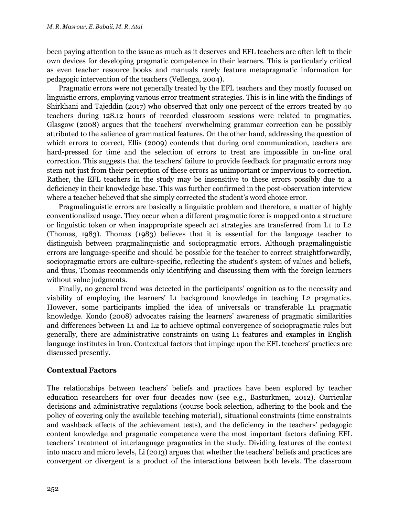been paying attention to the issue as much as it deserves and EFL teachers are often left to their own devices for developing pragmatic competence in their learners. This is particularly critical as even teacher resource books and manuals rarely feature metapragmatic information for pedagogic intervention of the teachers (Vellenga, 2004).

Pragmatic errors were not generally treated by the EFL teachers and they mostly focused on linguistic errors, employing various error treatment strategies. This is in line with the findings of Shirkhani and Tajeddin (2017) who observed that only one percent of the errors treated by 40 teachers during 128.12 hours of recorded classroom sessions were related to pragmatics. Glasgow (2008) argues that the teachers' overwhelming grammar correction can be possibly attributed to the salience of grammatical features. On the other hand, addressing the question of which errors to correct, Ellis (2009) contends that during oral communication, teachers are hard-pressed for time and the selection of errors to treat are impossible in on-line oral correction. This suggests that the teachers' failure to provide feedback for pragmatic errors may stem not just from their perception of these errors as unimportant or impervious to correction. Rather, the EFL teachers in the study may be insensitive to these errors possibly due to a deficiency in their knowledge base. This was further confirmed in the post-observation interview where a teacher believed that she simply corrected the student's word choice error.

Pragmalinguistic errors are basically a linguistic problem and therefore, a matter of highly conventionalized usage. They occur when a different pragmatic force is mapped onto a structure or linguistic token or when inappropriate speech act strategies are transferred from L1 to L2 (Thomas, 1983). Thomas (1983) believes that it is essential for the language teacher to distinguish between pragmalinguistic and sociopragmatic errors. Although pragmalinguistic errors are language-specific and should be possible for the teacher to correct straightforwardly, sociopragmatic errors are culture-specific, reflecting the student's system of values and beliefs, and thus, Thomas recommends only identifying and discussing them with the foreign learners without value judgments.

Finally, no general trend was detected in the participants' cognition as to the necessity and viability of employing the learners' L1 background knowledge in teaching L2 pragmatics. However, some participants implied the idea of universals or transferable L1 pragmatic knowledge. Kondo (2008) advocates raising the learners' awareness of pragmatic similarities and differences between L1 and L2 to achieve optimal convergence of sociopragmatic rules but generally, there are administrative constraints on using L1 features and examples in English language institutes in Iran. Contextual factors that impinge upon the EFL teachers' practices are discussed presently.

# **Contextual Factors**

The relationships between teachers' beliefs and practices have been explored by teacher education researchers for over four decades now (see e.g., Basturkmen, 2012). Curricular decisions and administrative regulations (course book selection, adhering to the book and the policy of covering only the available teaching material), situational constraints (time constraints and washback effects of the achievement tests), and the deficiency in the teachers' pedagogic content knowledge and pragmatic competence were the most important factors defining EFL teachers' treatment of interlanguage pragmatics in the study. Dividing features of the context into macro and micro levels, Li (2013) argues that whether the teachers' beliefs and practices are convergent or divergent is a product of the interactions between both levels. The classroom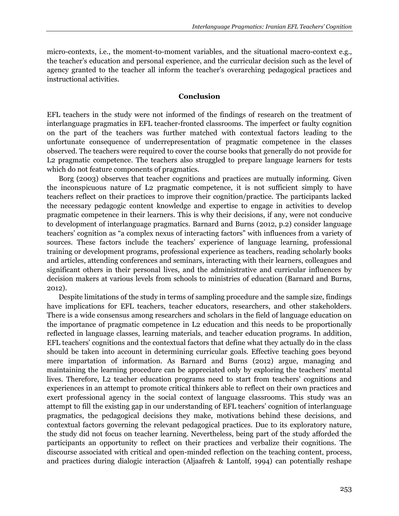micro-contexts, i.e., the moment-to-moment variables, and the situational macro-context e.g., the teacher's education and personal experience, and the curricular decision such as the level of agency granted to the teacher all inform the teacher's overarching pedagogical practices and instructional activities.

### **Conclusion**

EFL teachers in the study were not informed of the findings of research on the treatment of interlanguage pragmatics in EFL teacher-fronted classrooms. The imperfect or faulty cognition on the part of the teachers was further matched with contextual factors leading to the unfortunate consequence of underrepresentation of pragmatic competence in the classes observed. The teachers were required to cover the course books that generally do not provide for L2 pragmatic competence. The teachers also struggled to prepare language learners for tests which do not feature components of pragmatics.

Borg (2003) observes that teacher cognitions and practices are mutually informing. Given the inconspicuous nature of L2 pragmatic competence, it is not sufficient simply to have teachers reflect on their practices to improve their cognition/practice. The participants lacked the necessary pedagogic content knowledge and expertise to engage in activities to develop pragmatic competence in their learners. This is why their decisions, if any, were not conducive to development of interlanguage pragmatics. Barnard and Burns (2012, p.2) consider language teachers' cognition as "a complex nexus of interacting factors" with influences from a variety of sources. These factors include the teachers' experience of language learning, professional training or development programs, professional experience as teachers, reading scholarly books and articles, attending conferences and seminars, interacting with their learners, colleagues and significant others in their personal lives, and the administrative and curricular influences by decision makers at various levels from schools to ministries of education (Barnard and Burns, 2012).

Despite limitations of the study in terms of sampling procedure and the sample size, findings have implications for EFL teachers, teacher educators, researchers, and other stakeholders. There is a wide consensus among researchers and scholars in the field of language education on the importance of pragmatic competence in L2 education and this needs to be proportionally reflected in language classes, learning materials, and teacher education programs. In addition, EFL teachers' cognitions and the contextual factors that define what they actually do in the class should be taken into account in determining curricular goals. Effective teaching goes beyond mere impartation of information. As Barnard and Burns (2012) argue, managing and maintaining the learning procedure can be appreciated only by exploring the teachers' mental lives. Therefore, L2 teacher education programs need to start from teachers' cognitions and experiences in an attempt to promote critical thinkers able to reflect on their own practices and exert professional agency in the social context of language classrooms. This study was an attempt to fill the existing gap in our understanding of EFL teachers' cognition of interlanguage pragmatics, the pedagogical decisions they make, motivations behind these decisions, and contextual factors governing the relevant pedagogical practices. Due to its exploratory nature, the study did not focus on teacher learning. Nevertheless, being part of the study afforded the participants an opportunity to reflect on their practices and verbalize their cognitions. The discourse associated with critical and open-minded reflection on the teaching content, process, and practices during dialogic interaction (Aljaafreh & Lantolf, 1994) can potentially reshape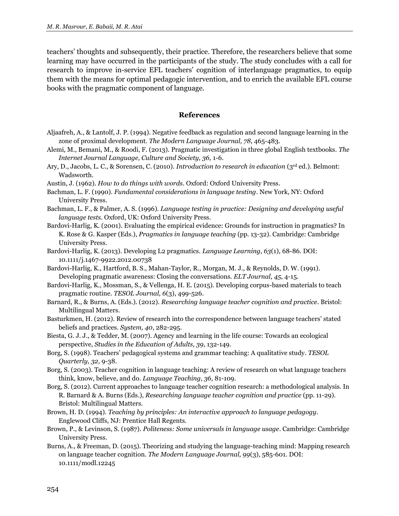teachers' thoughts and subsequently, their practice. Therefore, the researchers believe that some learning may have occurred in the participants of the study. The study concludes with a call for research to improve in-service EFL teachers' cognition of interlanguage pragmatics, to equip them with the means for optimal pedagogic intervention, and to enrich the available EFL course books with the pragmatic component of language.

# **References**

- Aljaafreh, A., & Lantolf, J. P. (1994). Negative feedback as regulation and second language learning in the zone of proximal development. *The Modern Language Journal, 78*, 465-483.
- Alemi, M., Bemani, M., & Roodi, F. (2013). Pragmatic investigation in three global English textbooks. *The Internet Journal Language, Culture and Society, 36,* 1-6.
- Ary, D., Jacobs, L. C., & Sorensen, C. (2010). *Introduction to research in education* (3rd ed.). Belmont: Wadsworth.
- Austin, J. (1962). *How to do things with words*. Oxford: Oxford University Press.
- Bachman, L. F. (1990). *Fundamental considerations in language testing*. New York, NY: Oxford University Press.
- Bachman, L. F., & Palmer, A. S. (1996). *Language testing in practice: Designing and developing useful language tests*. Oxford, UK: Oxford University Press.
- Bardovi-Harlig, K. (2001). Evaluating the empirical evidence: Grounds for instruction in pragmatics? In K. Rose & G. Kasper (Eds.), *Pragmatics in language teaching* (pp. 13-32). Cambridge: Cambridge University Press.
- Bardovi-Harlig, K. (2013). Developing L2 pragmatics. *Language Learning, 63*(1), 68-86. DOI: 10.1111/j.1467-9922.2012.00738
- Bardovi-Harlig, K., Hartford, B. S., Mahan-Taylor, R., Morgan, M. J., & Reynolds, D. W. (1991). Developing pragmatic awareness: Closing the conversations. *ELT Journal, 45*, 4-15.
- Bardovi-Harlig, K., Mossman, S., & Vellenga, H. E. (2015). Developing corpus-based materials to teach pragmatic routine. *TESOL Journal, 6*(3), 499-526.
- Barnard, R., & Burns, A. (Eds.). (2012). *Researching language teacher cognition and practice*. Bristol: Multilingual Matters.
- Basturkmen, H. (2012). Review of research into the correspondence between language teachers' stated beliefs and practices. *System, 40*, 282-295.
- Biesta, G. J. J., & Tedder, M. (2007). Agency and learning in the life course: Towards an ecological perspective, *Studies in the Education of Adults, 39*, 132-149.
- Borg, S. (1998). Teachers' pedagogical systems and grammar teaching: A qualitative study. *TESOL Quarterly, 32*, 9-38.
- Borg, S. (2003). Teacher cognition in language teaching: A review of research on what language teachers think, know, believe, and do. *Language Teaching, 36*, 81-109.
- Borg, S. (2012). Current approaches to language teacher cognition research: a methodological analysis. In R. Barnard & A. Burns (Eds.), *Researching language teacher cognition and practice* (pp. 11-29). Bristol: Multilingual Matters.
- Brown, H. D. (1994). *Teaching by principles: An interactive approach to language pedagogy*. Englewood Cliffs, NJ: Prentice Hall Regents.
- Brown, P., & Levinson, S. (1987). *Politeness: Some universals in language usage*. Cambridge: Cambridge University Press.
- Burns, A., & Freeman, D. (2015). Theorizing and studying the language-teaching mind: Mapping research on language teacher cognition. *The Modern Language Journal, 99*(3), 585-601. DOI: 10.1111/modl.12245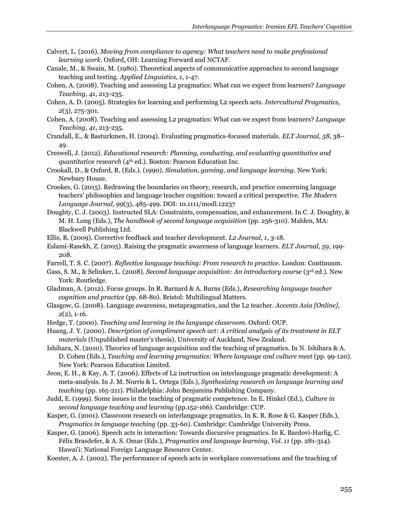- Calvert, L. (2016). *Moving from compliance to agency: What teachers need to make professional learning work*. Oxford, OH: Learning Forward and NCTAF.
- Canale, M., & Swain, M. (1980). Theoretical aspects of communicative approaches to second language teaching and testing. *Applied Linguistics, 1*, 1-47.
- Cohen, A. (2008). Teaching and assessing L2 pragmatics: What can we expect from learners? *Language Teaching, 41*, 213-235.
- Cohen, A. D. (2005). Strategies for learning and performing L2 speech acts. *Intercultural Pragmatics, 2*(3), 275-301.
- Cohen, A. (2008). Teaching and assessing L2 pragmatics: What can we expect from learners? *Language Teaching, 41*, 213-235.
- Crandall, E., & Basturkmen, H. (2004). Evaluating pragmatics-focused materials. *ELT Journal, 58*, 38– 49.
- Creswell, J. (2012). *Educational research: Planning, conducting, and evaluating quantitative and quantitative research* (4th ed.). Boston: Pearson Education Inc.
- Crookall, D., & Oxford, R. (Eds.). (1990). *Simulation, gaming, and language learning*. New York: Newbury House.
- Crookes, G. (2015). Redrawing the boundaries on theory, research, and practice concerning language teachers' philosophies and language teacher cognition: toward a critical perspective. *The Modern Language Journal, 99*(3), 485-499. DOI: 10.1111/modl.12237
- Doughty, C. J. (2003). Instructed SLA: Constraints, compensation, and enhancement. In C. J. Doughty, & M. H. Long (Eds.), *The handbook of second language acquisition* (pp. 256-310). Malden, MA: Blackwell Publishing Ltd.
- Ellis, R. (2009). Corrective feedback and teacher development. *L2 Journal, 1*, 3-18.
- Eslami-Rasekh, Z. (2005). Raising the pragmatic awareness of language learners. *ELT Journal, 59*, 199- 208.
- Farrell, T. S. C. (2007). *Reflective language teaching: From research to practice*. London: Continuum.
- Gass, S. M., & Selinker, L. (2008). *Second language acquisition: An introductory course* (3rd ed.). New York: Routledge.
- Gladman, A. (2012). Focus groups. In R. Barnard & A. Burns (Eds.), *Researching language teacher cognition and practice* (pp. 68-80). Bristol: Multilingual Matters.
- Glasgow, G. (2008). Language awareness, metapragmatics, and the L2 teacher. *Accents Asia [Online], 2*(2), 1-16.
- Hedge, T. (2000). *Teaching and learning in the language classroom*. Oxford: OUP.
- Huang, J. Y. (2000). *Description of compliment speech act: A critical analysis of its treatment in ELT materials* (Unpublished master's thesis). University of Auckland, New Zealand.
- Ishihara, N. (2010). Theories of language acquisition and the teaching of pragmatics. In N. Ishihara & A. D. Cohen (Eds.), *Teaching and learning pragmatics: Where language and culture meet* (pp. 99-120). New York: Pearson Education Limited.

Jeon, E. H., & Kay, A. T. (2006). Effects of L2 instruction on interlanguage pragmatic development: A meta-analysis. In J. M. Norris & L. Ortega (Eds.), *Synthesizing research on language learning and teaching* (pp. 165-211). Philadelphia: John Benjamins Publishing Company.

- Judd, E. (1999). Some issues in the teaching of pragmatic competence. In E. Hinkel (Ed.), *Culture in second language teaching and learning* (pp.152-166). Cambridge: CUP.
- Kasper, G. (2001). Classroom research on interlanguage pragmatics. In K. R. Rose & G. Kasper (Eds.), *Pragmatics in language teaching* (pp. 33-60). Cambridge: Cambridge University Press.
- Kasper, G. (2006). Speech acts in interaction: Towards discursive pragmatics. In K. Bardovi-Harlig, C. Félix Brasdefer, & A. S. Omar (Eds.), *Pragmatics and language learning, Vol. 11* (pp. 281-314). Hawai'i: National Foreign Language Resource Center.

Koester, A. J. (2002). The performance of speech acts in workplace conversations and the teaching of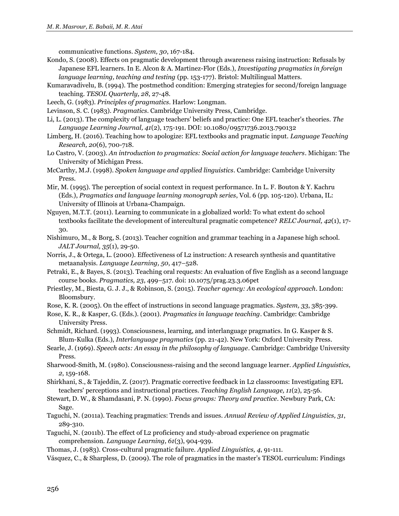communicative functions. *System, 30*, 167-184.

- Kondo, S. (2008). Effects on pragmatic development through awareness raising instruction: Refusals by Japanese EFL learners. In E. Alcon & A. Martinez-Flor (Eds.), *Investigating pragmatics in foreign language learning, teaching and testing* (pp. 153-177). Bristol: Multilingual Matters.
- Kumaravadivelu, B. (1994). The postmethod condition: Emerging strategies for second/foreign language teaching. *TESOL Quarterly, 28*, 27-48.
- Leech, G. (1983). *Principles of pragmatics*. Harlow: Longman.
- Levinson, S. C. (1983). *Pragmatics*. Cambridge University Press, Cambridge.
- Li, L. (2013). The complexity of language teachers' beliefs and practice: One EFL teacher's theories. *The Language Learning Journal, 41*(2), 175-191. DOI: 10.1080/09571736.2013.790132
- Limberg, H. (2016). Teaching how to apologize: EFL textbooks and pragmatic input. *Language Teaching Research, 20*(6), 700-718.
- Lo Castro, V. (2003). *An introduction to pragmatics: Social action for language teachers*. Michigan: The University of Michigan Press.
- McCarthy, M.J. (1998). *Spoken language and applied linguistics*. Cambridge: Cambridge University Press.
- Mir, M. (1995). The perception of social context in request performance. In L. F. Bouton & Y. Kachru (Eds.), *Pragmatics and language learning monograph series*, Vol. 6 (pp. 105-120). Urbana, IL: University of Illinois at Urbana-Champaign.
- Nguyen, M.T.T. (2011). Learning to communicate in a globalized world: To what extent do school textbooks facilitate the development of intercultural pragmatic competence? *RELC Journal, 42*(1), 17- 30.
- Nishimuro, M., & Borg, S. (2013). Teacher cognition and grammar teaching in a Japanese high school. *JALT Journal, 35*(1), 29-50.
- Norris, J., & Ortega, L. (2000). Effectiveness of L2 instruction: A research synthesis and quantitative metaanalysis. *Language Learning, 50*, 417–528.
- Petraki, E., & Bayes, S. (2013). Teaching oral requests: An evaluation of five English as a second language course books. *Pragmatics, 23*, 499–517. doi: 10.1075/prag.23.3.06pet
- Priestley, M., Biesta, G. J. J., & Robinson, S. (2015). *Teacher agency: An ecological approach*. London: Bloomsbury.
- Rose, K. R. (2005). On the effect of instructions in second language pragmatics. *System, 33*, 385-399.
- Rose, K. R., & Kasper, G. (Eds.). (2001). *Pragmatics in language teaching*. Cambridge: Cambridge University Press.
- Schmidt, Richard. (1993). Consciousness, learning, and interlanguage pragmatics. In G. Kasper & S. Blum-Kulka (Eds.), *Interlanguage pragmatics* (pp. 21-42). New York: Oxford University Press.
- Searle, J. (1969). *Speech acts: An essay in the philosophy of language*. Cambridge: Cambridge University Press.
- Sharwood-Smith, M. (1980). Consciousness-raising and the second language learner. *Applied Linguistics, 2*, 159-168.
- Shirkhani, S., & Tajeddin, Z. (2017). Pragmatic corrective feedback in L2 classrooms: Investigating EFL teachers' perceptions and instructional practices. *Teaching English Language, 11*(2), 25-56.
- Stewart, D. W., & Shamdasani, P. N. (1990). *Focus groups: Theory and practice*. Newbury Park, CA: Sage.
- Taguchi, N. (2011a). Teaching pragmatics: Trends and issues. *Annual Review of Applied Linguistics, 31*, 289-310.
- Taguchi, N. (2011b). The effect of L2 proficiency and study-abroad experience on pragmatic comprehension. *Language Learning, 61*(3), 904-939.
- Thomas, J. (1983). Cross-cultural pragmatic failure. *Applied Linguistics, 4*, 91-111.

Vásquez, C., & Sharpless, D. (2009). The role of pragmatics in the master's TESOL curriculum: Findings